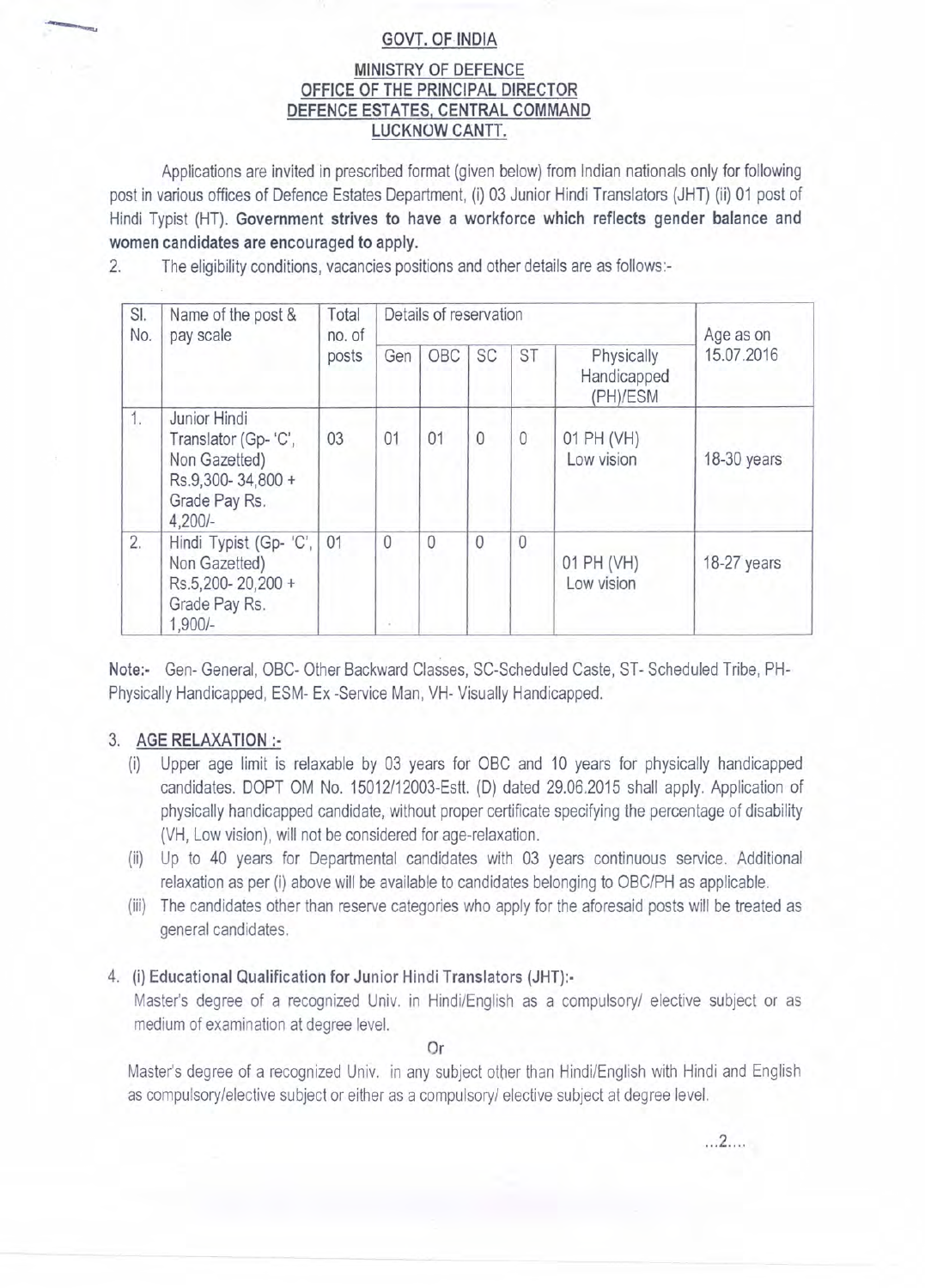## **GOVT. OF-INDIA**

## **MINISTRY OF DEFENCE OFFICE OF THE PRINCIPAL DIRECTOR DEFENCE ESTATES, CENTRAL COMMAND LUCKNOW CANTT.**

Applications are invited in prescribed format (given below) from Indian nationals only for following post in various *offices* of Defence Estates Department, (i) 03 Junior Hindi Translators (JHT) (ii) 01 post of Hindi Typist (HT). **Government strives to have a workforce which reflects gender balance and women candidates are encouraged to apply.**

2. The eligibility conditions, vacancies positions and other details are as follows:-

| SI.<br>No. | Name of the post &<br>pay scale                                                                        | Total<br>no. of<br>posts | Details of reservation |     |              |          | Age as on                             |               |
|------------|--------------------------------------------------------------------------------------------------------|--------------------------|------------------------|-----|--------------|----------|---------------------------------------|---------------|
|            |                                                                                                        |                          | Gen                    | OBC | <b>SC</b>    | ST       | Physically<br>Handicapped<br>(PH)/ESM | 15.07.2016    |
| 1.         | Junior Hindi<br>Translator (Gp-'C',<br>Non Gazetted)<br>Rs.9,300-34,800+<br>Grade Pay Rs.<br>$4,200/-$ | 03                       | 01                     | 01  | $\theta$     | $\theta$ | 01 PH (VH)<br>Low vision              | 18-30 years   |
| 2.         | Hindi Typist (Gp- 'C',<br>Non Gazetted)<br>Rs.5,200-20,200+<br>Grade Pay Rs.<br>$1,900/-$              | 01                       | $\theta$               | 0   | $\mathbf{0}$ | $\theta$ | 01 PH (VH)<br>Low vision              | $18-27$ years |

**Note:-** Gen- General, OBC- Other Backward Classes, SC-Scheduled Caste, ST- Scheduled Tribe, PH-Physically Handicapped, ESM- Ex -Service Man, VH- Visually Handicapped.

#### 3. **AGE RELAXATION :-**

- (i) Upper age limit is relaxable by 03 years for OBC and 10 years for physically handicapped candidates. DOPT OM No. 15012/12003-Estt. (D) dated 29.06.2015 shall apply. Application of physically handicapped candidate, without proper certificate specifying the percentage of disability (VH, Low vision), will not be considered for age-relaxation.
- (ii) Up to 40 years for Departmental candidates with 03 years continuous service. Additional relaxation as per (i) above will be available to candidates belonging to OBC/PH as applicable.
- (iii) The candidates other than reserve categories who apply for the aforesaid posts will be treated as general candidates.

## 4. (i) **Educational Qualification for Junior Hindi Translators (JHT):-**

Master's degree of a recognized Univ. in Hindi/English as a compulsory/ elective subject or as medium of examination at degree level.

**Or**

Master's degree of a recognized Univ. in any subject other than Hindi/English with Hindi and English as compulsory/elective subject or either as a compulsory/ elective subject at degree level.

...2....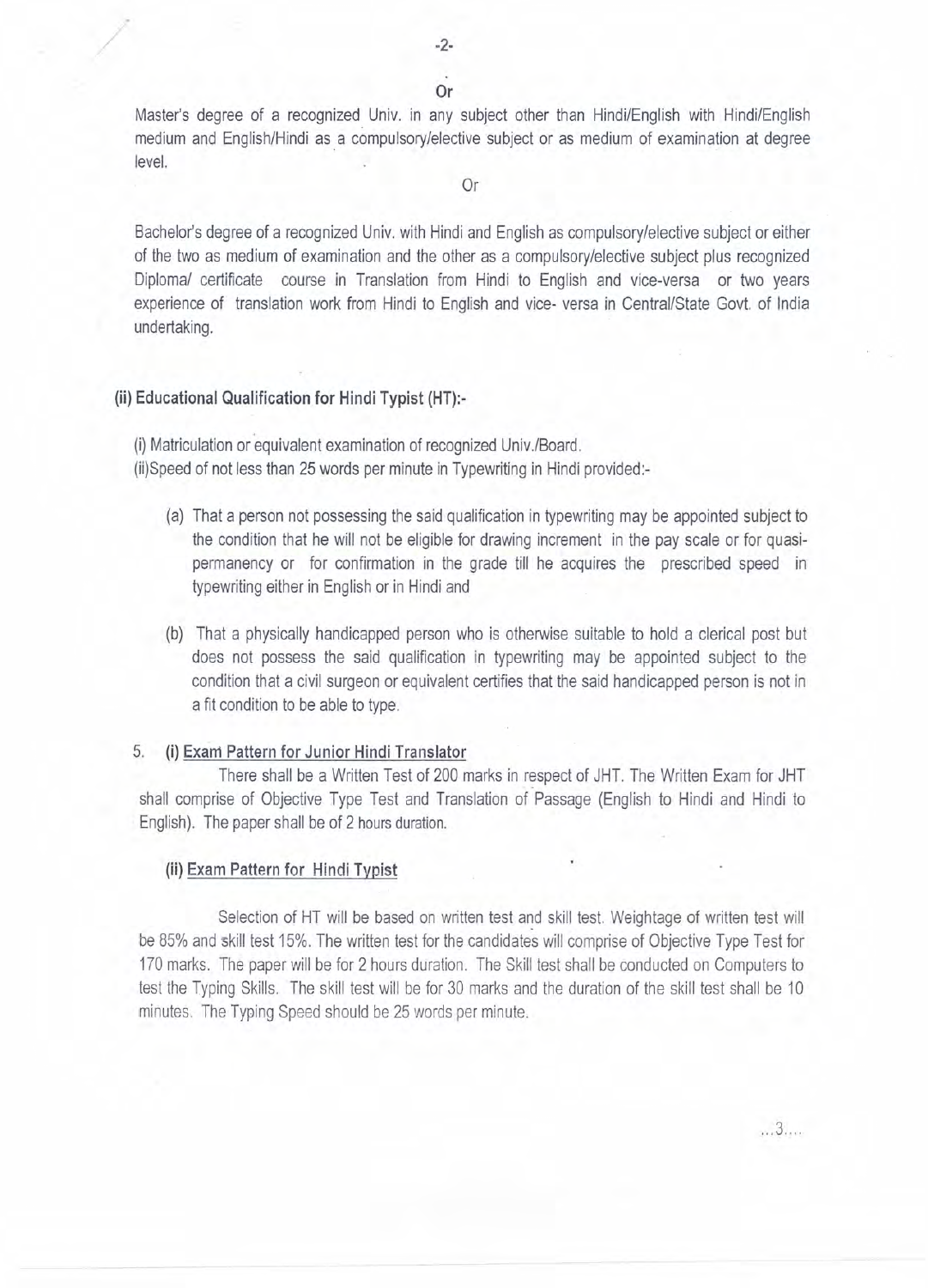Master's degree of a recognized Univ. in any subject other than Hindi/English with Hindi/English medium and English/Hindi as a compulsory/elective subject or as medium of examination at degree level.

Or

Bachelor's degree of a recognized Univ. with Hindi and English as compulsory/elective subject or either of the two as medium of examination and the other as a compulsory/elective subject plus recognized Diploma/ certificate course in Translation from Hindi to English and vice-versa or two years experience of translation work from Hindi to English and vice- versa in Central/State Govt. of India undertaking.

#### (ii) Educational Qualification for Hindi Typist (HT):-

(i) Matriculation or equivalent examination of recognized Univ.lBoard. (ii)Speed of not less than 25 words per minute in Typewriting in Hindi provided:-

- (a) That a person not possessing the said qualification in typewriting may be appointed subject to the condition that he will not be eligible for drawing increment in the pay scale or for quasipermanency or for confirmation in the grade till he acquires the prescribed speed in typewriting either in English or in Hindi and
- (b) That a physically handicapped person who is otherwise suitable to hold a clerical post but does not possess the said qualification in typewriting may be appointed subject to the condition that a civil surgeon or equivalent certifies that the said handicapped person is not in a fit condition to be able to type.

#### 5. (i) Exam Pattern for Junior Hindi Translator

There shall be a Written Test of 200 marks in respect of JHT. The Written Exam for JHT shall comprise of Objective Type Test and Translation of Passage (English to Hindi and Hindi to English). The paper shall be of 2 hours duration.

#### (ii) Exam Pattern for Hindi Typist

Selection of HT will be based on written test and skill test. Weightage of written test will be 85% and 5kill test 15%. The written test for the candidates will comprise of Objective Type Test for 170 marks. The paper will be for 2 hours duration. The Skill test shall be conducted on Computers to test the Typing Skills. The skill test will be for 30 marks and the duration of the skill test shall be 10 minutes. The Typing Speed should be 25 words per minute.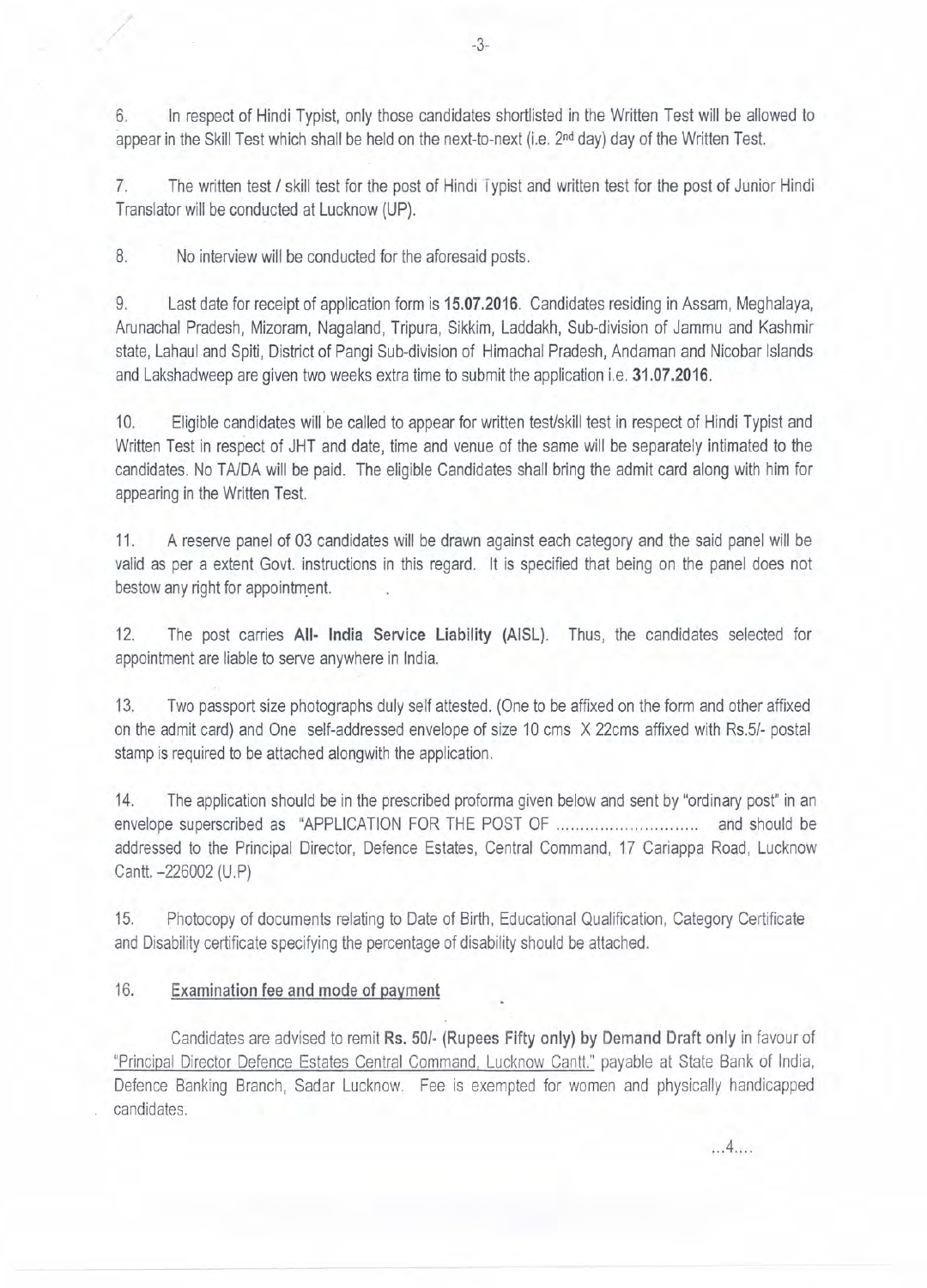6. In respect of Hindi Typist, only those candidates shortlisted in the Written Test will be allowed to appear in the Skill Test which shall be held on the next-to-next (i.e. 2<sup>nd</sup> day) day of the Written Test.

7. The written test / skill test for the post of Hindi Typist and written test for the post of Junior Hindi Translator will be conducted at Lucknow (UP).

8. No interview will be conducted for the aforesaid posts.

9. Last date for receipt of application form is 15.07.2016. Candidates residing in Assam, Meghalaya, Arunachal Pradesh, Mizoram, Nagaland, Tripura, Sikkim, Laddakh, Sub-division of Jammu and Kashmir state, Lahaul and Spiti, District of Pangi Sub-division of Himachal Pradesh, Andaman and Nicobar Islands and Lakshadweep are given two weeks extra time to submit the application i.e. 31.07.2016.

10. Eligible candidates will be called to appear for written test/skill test in respect of Hindi Typist and Written Test in respect of JHT and date, time and venue of the same will be separately intimated to the candidates. No *TA/DA* will be paid. The eligible Candidates shall bring the admit card along with him for appearing in the Written Test.

11. A reserve panel of 03 candidates will be drawn against each category and the said panel will be valid as per a extent Govt. instructions in this regard. It is specified that being on the panel does not bestow any right for appointment.

12. The post carries All- India Service Liability (AISL). Thus, the candidates selected for appointment are liable to serve anywhere in India.

13. Two passport size photographs duly self attested. (One to be affixed on the form and other affixed on the admit card) and One self-addressed envelope of size 10 cms X 22cms affixed with RS.5/- postal stamp is required to be attached alongwith the application.

14. The application should be in the prescribed proforma given below and sent by "ordinary post" in an envelope superscribed as "APPLICATION FOR THE POST OF and should be addressed to the Principal Director, Defence Estates, Central Command, 17 Cariappa Road, Lucknow Cantt. -226002 (U.P)

15. Photocopy of documents relating to Date of Birth, Educational Qualification, Category Certificate and Disability certificate specifying the percentage of disability should be attached.

## 16. Examination fee and mode of payment

Candidates are advised to remit Rs. *501·* (Rupees Fifty only) by Demand Draft only in favour of "Principal Director Defence Estates Central Command. Lucknow Cantt." payable at State Bank of India, Defence Banking Branch, Sadar Lucknow. Fee is exempted for women and physically handicapped candidates.

...4 ....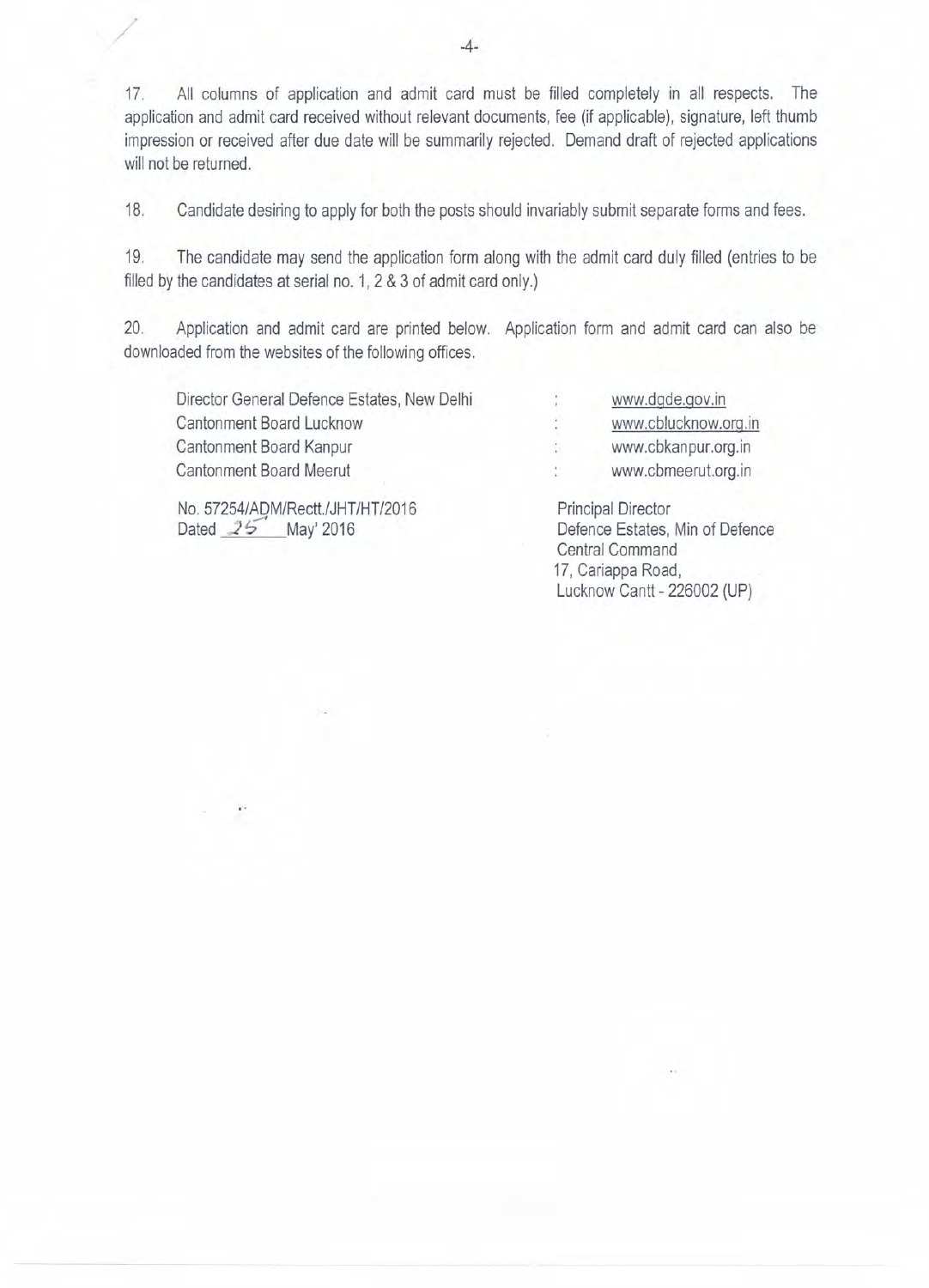17. All columns of application and admit card must be filled completely in all respects. The application and admit card received without relevant documents, fee (if applicable), signature, left thumb impression or received after due date will be summarily rejected. Demand draft of rejected applications will not be returned.

18. Candidate desiring to apply for both the posts should invariably submit separate forms and fees.

19. The candidate may send the application form along with the admit card duly filled (entries to be filled by the candidates at serial no. 1, 2 & 3 of admit card only.)

20. Application and admit card are printed below. Application form and admit card can also be downloaded from the websites of the following offices.

÷

Director General Defence Estates, New Delhi Cantonment Board Lucknow Cantonment Board Kanpur Cantonment Board Meerut

No. 57254/ADM/Rectt./JHT/HT/2016 Dated .2**5'"** May' 2016

*r* /

> www.dgde.gov.in www.cblucknow.org.in

www.cbkanpur.org.in ţ.

www.cbmeerut.org.in ÷.

Principal Director Defence Estates, Min of Defence Central Command 17, Cariappa Road, Lucknow Cantt - 226002 (UP)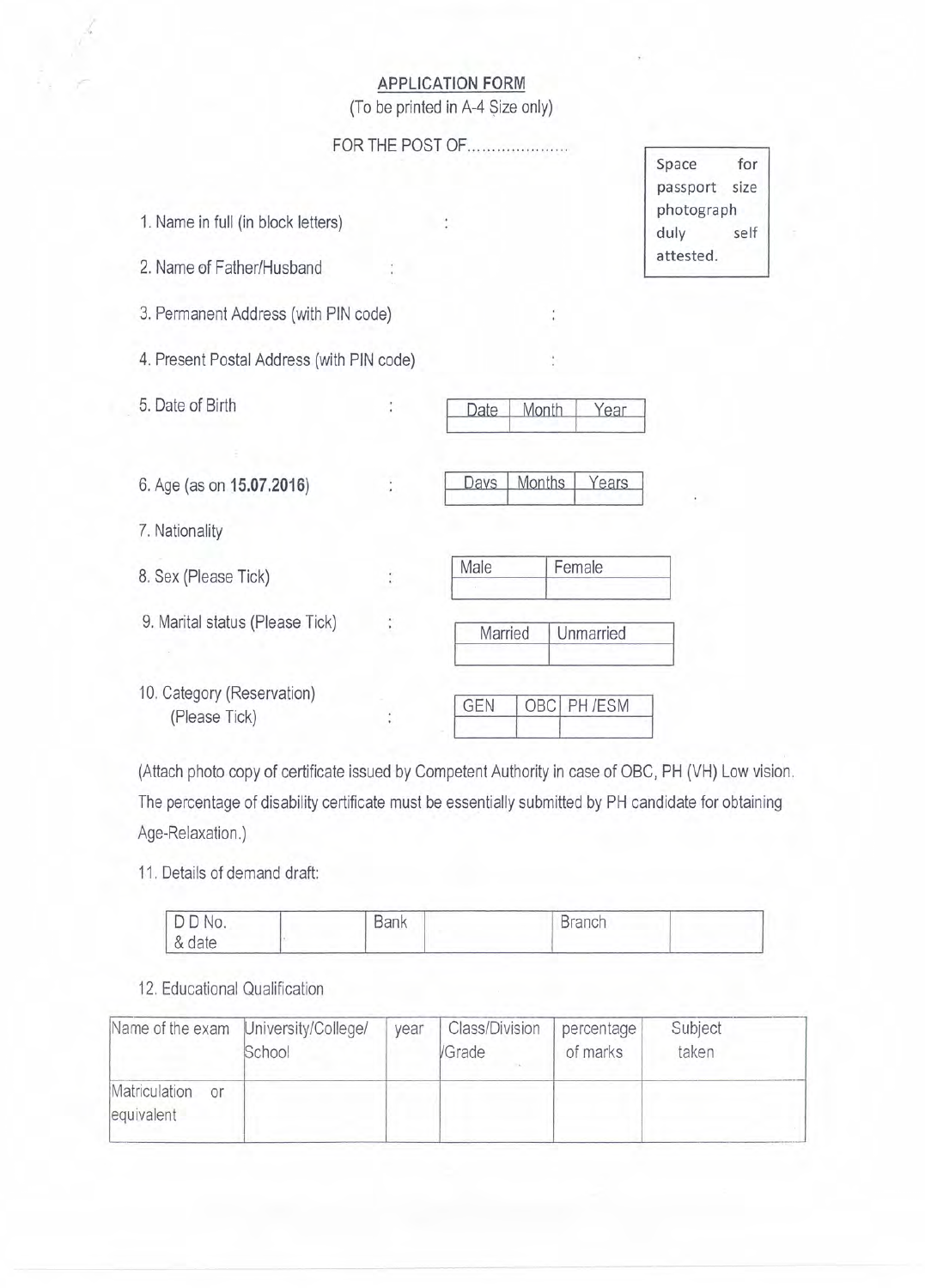| <b>APPLICATION FORM</b>          |  |  |  |  |  |  |  |
|----------------------------------|--|--|--|--|--|--|--|
| (To be printed in A-4 Size only) |  |  |  |  |  |  |  |

FOR THE POST OF ....................... Space for passport size photograph 1. Name in full (in block letters)  $\sim$ duly self attested. 2. Name of Father/Husband 3. Permanent Address (with PIN code) ÷ 4. Present Postal Address (with PIN code) ÷ 5. Date of Birth : Date | Month | Year 6. Age (as on **15.07.2016**) : Davs Months | Years 7. Nationality 8. Sex (Please Tick) : Male Female 9. Marital status (Please Tick)  $\ddot{\cdot}$  $\frac{1}{2}$  Martice  $\frac{1}{2}$   $\frac{1}{2}$   $\frac{1}{2}$ 10. Category (Reservation) Example of the Calculation of the CEN CBC PH /ESM (Please Tick)

(Attach photo copy of certificate issued by Competent Authority in case of OBC, PH (VH) Low vision. The percentage of disability certificate must be essentially submitted by PH candidate for obtaining Age-Relaxation.)

11. Details of demand draft:

| $-1$<br>. | .<br><b>STATISTICS</b> |  |
|-----------|------------------------|--|
|           |                        |  |

12. Educational Qualification

| Name of the exam                  | University/College/<br>School | year | Class/Division<br><b>/Grade</b> | percentage<br>of marks | Subject<br>taken |
|-----------------------------------|-------------------------------|------|---------------------------------|------------------------|------------------|
| Matriculation<br>or<br>equivalent |                               |      |                                 |                        |                  |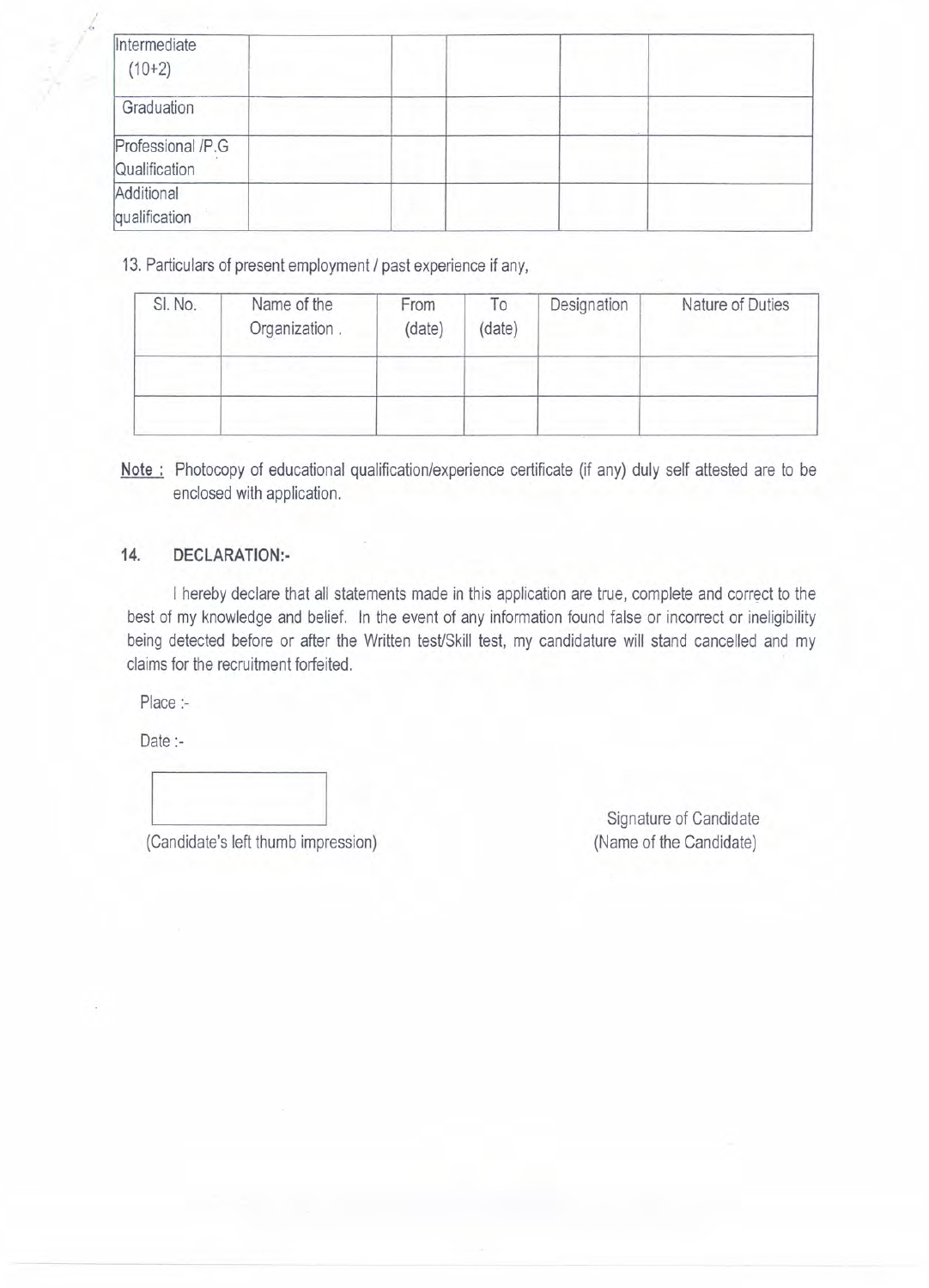| Intermediate<br>$(10+2)$           |  |  |
|------------------------------------|--|--|
| Graduation                         |  |  |
| Professional /P.G<br>Qualification |  |  |
| Additional<br>qualification        |  |  |

13. Particulars of present employment / past experience if any,

| SI. No. | Name of the<br>Organization. | From<br>(date) | To<br>(date) | Designation | Nature of Duties |
|---------|------------------------------|----------------|--------------|-------------|------------------|
|         |                              |                |              |             |                  |

**Note:** Photocopy of educational qualification/experience certificate (if any) duly self attested are to be enclosed with application.

# **14. DECLARATION:·**

I hereby declare that all statements made in this application are true, complete and correct to the best of my knowledge and belief. In the event of any information found false or incorrect or ineligibility being detected before or after the Written test/Skill test, my candidature will stand cancelled and my claims for the recruitment forfeited. .

Place :-

**-.;-.**

Date :-

Signature of Candidate

(Candidate's left thumb impression) (Name of the Candidate)